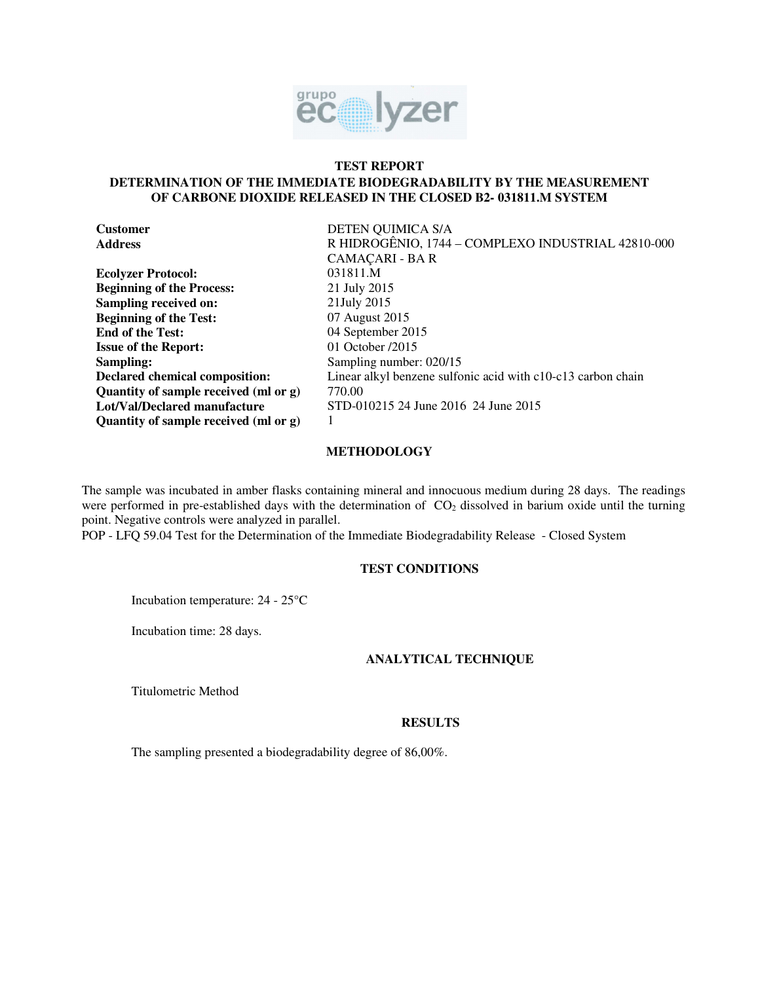

## **TEST REPORT**

# **DETERMINATION OF THE IMMEDIATE BIODEGRADABILITY BY THE MEASUREMENT OF CARBONE DIOXIDE RELEASED IN THE CLOSED B2- 031811.M SYSTEM**

| <b>Customer</b>                       | DETEN QUIMICA S/A                                            |
|---------------------------------------|--------------------------------------------------------------|
| <b>Address</b>                        | R HIDROGÊNIO, 1744 – COMPLEXO INDUSTRIAL 42810-000           |
|                                       | CAMACARI - BA R                                              |
| <b>Ecolyzer Protocol:</b>             | 031811.M                                                     |
| <b>Beginning of the Process:</b>      | 21 July 2015                                                 |
| Sampling received on:                 | 21July 2015                                                  |
| <b>Beginning of the Test:</b>         | 07 August 2015                                               |
| <b>End of the Test:</b>               | 04 September 2015                                            |
| <b>Issue of the Report:</b>           | 01 October /2015                                             |
| Sampling:                             | Sampling number: 020/15                                      |
| Declared chemical composition:        | Linear alkyl benzene sulfonic acid with c10-c13 carbon chain |
| Quantity of sample received (ml or g) | 770.00                                                       |
| Lot/Val/Declared manufacture          | STD-010215 24 June 2016 24 June 2015                         |
| Quantity of sample received (ml or g) |                                                              |

# **METHODOLOGY**

The sample was incubated in amber flasks containing mineral and innocuous medium during 28 days. The readings were performed in pre-established days with the determination of  $CO<sub>2</sub>$  dissolved in barium oxide until the turning point. Negative controls were analyzed in parallel.

POP - LFQ 59.04 Test for the Determination of the Immediate Biodegradability Release - Closed System

# **TEST CONDITIONS**

Incubation temperature: 24 - 25°C

Incubation time: 28 days.

## **ANALYTICAL TECHNIQUE**

Titulometric Method

#### **RESULTS**

The sampling presented a biodegradability degree of 86,00%.